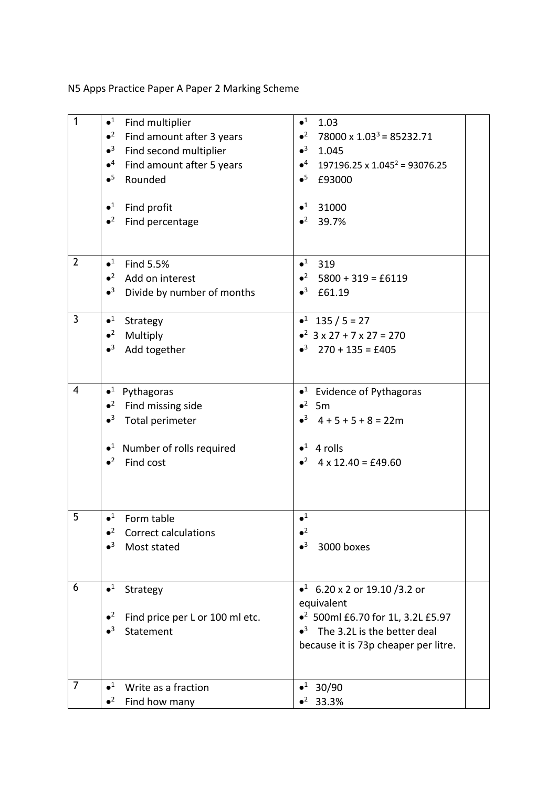N5 Apps Practice Paper A Paper 2 Marking Scheme

| $\mathbf{1}$   | $\bullet^1$<br>Find multiplier<br>$\bullet^2$<br>Find amount after 3 years<br>$\bullet^3$<br>Find second multiplier<br>$\bullet^4$<br>Find amount after 5 years<br>$\bullet^5$<br>Rounded | $\bullet^1$<br>1.03<br>$\bullet^2$<br>78000 x $1.033$ = 85232.71<br>$\bullet^3$<br>1.045<br>$\bullet^4$ 197196.25 x 1.045 <sup>2</sup> = 93076.25<br>$\bullet^5$<br>£93000     |
|----------------|-------------------------------------------------------------------------------------------------------------------------------------------------------------------------------------------|--------------------------------------------------------------------------------------------------------------------------------------------------------------------------------|
|                | $\bullet^1$<br>Find profit<br>$\bullet^2$<br>Find percentage                                                                                                                              | $\bullet^1$<br>31000<br>$\bullet^2$<br>39.7%                                                                                                                                   |
| $\overline{2}$ | $\bullet^1$<br>Find 5.5%<br>$\bullet^2$<br>Add on interest<br>$\bullet^3$<br>Divide by number of months                                                                                   | $\bullet^1$<br>319<br>$\bullet^2$ 5800 + 319 = £6119<br>$•3$ £61.19                                                                                                            |
| $\mathbf{3}$   | $\bullet^1$<br>Strategy<br>$\bullet^2$<br>Multiply<br>$\bullet^3$<br>Add together                                                                                                         | $\bullet^1$ 135 / 5 = 27<br>$\bullet^2$ 3 x 27 + 7 x 27 = 270<br>$\bullet^3$ 270 + 135 = £405                                                                                  |
| $\overline{4}$ | $\bullet^1$ Pythagoras<br>$\bullet^2$<br>Find missing side<br>$\bullet^3$<br>Total perimeter<br>$\bullet$ <sup>1</sup> Number of rolls required<br>$\bullet^2$<br>Find cost               | $\bullet$ <sup>1</sup> Evidence of Pythagoras<br>$\bullet^2$ 5m<br>$-3$ 4 + 5 + 5 + 8 = 22m<br>$\bullet^1$ 4 rolls<br>$\bullet^2$ 4 x 12.40 = £49.60                           |
| 5              | $\bullet^1$<br>Form table<br>$\bullet^2$<br>Correct calculations<br>$\bullet^3$<br>Most stated                                                                                            | $\bullet^1$<br>$\bullet^2$<br>$\bullet^3$<br>3000 boxes                                                                                                                        |
| 6              | $\bullet^1$<br>Strategy<br>$\bullet^2$<br>Find price per L or 100 ml etc.<br>$\bullet^3$<br>Statement                                                                                     | • 6.20 x 2 or 19.10 / 3.2 or<br>equivalent<br>● <sup>2</sup> 500ml £6.70 for 1L, 3.2L £5.97<br>$\bullet^3$ The 3.2L is the better deal<br>because it is 73p cheaper per litre. |
| $\overline{7}$ | $\bullet^1$<br>Write as a fraction<br>$\bullet^2$<br>Find how many                                                                                                                        | $•1$ 30/90<br>$•2$ 33.3%                                                                                                                                                       |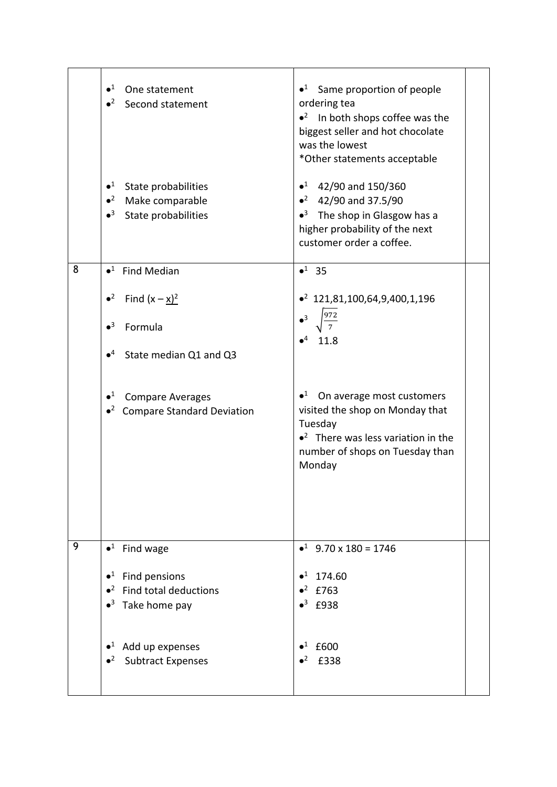|   | $\bullet^1$<br>One statement<br>$\bullet^2$<br>Second statement<br>$\bullet^1$<br>State probabilities<br>$\bullet^2$<br>Make comparable<br>$\bullet^3$<br>State probabilities | $\bullet$ <sup>1</sup> Same proportion of people<br>ordering tea<br>$\bullet^2$ In both shops coffee was the<br>biggest seller and hot chocolate<br>was the lowest<br>*Other statements acceptable<br>$\bullet^1$ 42/90 and 150/360<br>• $42/90$ and 37.5/90<br>$\bullet^3$ The shop in Glasgow has a<br>higher probability of the next<br>customer order a coffee. |  |
|---|-------------------------------------------------------------------------------------------------------------------------------------------------------------------------------|---------------------------------------------------------------------------------------------------------------------------------------------------------------------------------------------------------------------------------------------------------------------------------------------------------------------------------------------------------------------|--|
| 8 | $\bullet^1$ Find Median<br>Find $(x - x)^2$<br>$\bullet^2$                                                                                                                    | $•1$ 35<br>$\bullet^2$ 121,81,100,64,9,400,1,196                                                                                                                                                                                                                                                                                                                    |  |
|   | $\bullet^3$<br>Formula                                                                                                                                                        | $\bullet^3$<br>11.8                                                                                                                                                                                                                                                                                                                                                 |  |
|   | $\bullet^4$<br>State median Q1 and Q3                                                                                                                                         |                                                                                                                                                                                                                                                                                                                                                                     |  |
|   | $\bullet^1$<br><b>Compare Averages</b><br>• <sup>2</sup> Compare Standard Deviation                                                                                           | $\bullet^1$<br>On average most customers<br>visited the shop on Monday that<br>Tuesday<br>$\bullet^2$ There was less variation in the<br>number of shops on Tuesday than<br>Monday                                                                                                                                                                                  |  |
| 9 | $\bullet^1$<br>Find wage                                                                                                                                                      | $\bullet^1$ 9.70 x 180 = 1746                                                                                                                                                                                                                                                                                                                                       |  |
|   | Find pensions<br>$\bullet^1$                                                                                                                                                  | $\bullet^1$<br>174.60                                                                                                                                                                                                                                                                                                                                               |  |
|   | Find total deductions<br>$\bullet^2$                                                                                                                                          | $\bullet^2$<br>£763                                                                                                                                                                                                                                                                                                                                                 |  |
|   | Take home pay<br>$\bullet^3$                                                                                                                                                  | $\bullet^3$ £938                                                                                                                                                                                                                                                                                                                                                    |  |
|   | $\bullet^1$<br>Add up expenses<br><b>Subtract Expenses</b>                                                                                                                    | $\bullet^1$<br>£600<br>£338                                                                                                                                                                                                                                                                                                                                         |  |